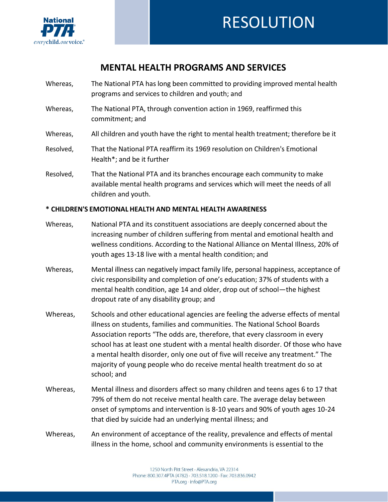

## **MENTAL HEALTH PROGRAMS AND SERVICES**

- Whereas, The National PTA has long been committed to providing improved mental health programs and services to children and youth; and
- Whereas, The National PTA, through convention action in 1969, reaffirmed this commitment; and
- Whereas, All children and youth have the right to mental health treatment; therefore be it
- Resolved, That the National PTA reaffirm its 1969 resolution on Children's Emotional Health\*; and be it further
- Resolved, That the National PTA and its branches encourage each community to make available mental health programs and services which will meet the needs of all children and youth.

## **\* CHILDREN'S EMOTIONAL HEALTH AND MENTAL HEALTH AWARENESS**

- Whereas, National PTA and its constituent associations are deeply concerned about the increasing number of children suffering from mental and emotional health and wellness conditions. According to the National Alliance on Mental Illness, 20% of youth ages 13-18 live with a mental health condition; and
- Whereas, Mental illness can negatively impact family life, personal happiness, acceptance of civic responsibility and completion of one's education; 37% of students with a mental health condition, age 14 and older, drop out of school—the highest dropout rate of any disability group; and
- Whereas, Schools and other educational agencies are feeling the adverse effects of mental illness on students, families and communities. The National School Boards Association reports "The odds are, therefore, that every classroom in every school has at least one student with a mental health disorder. Of those who have a mental health disorder, only one out of five will receive any treatment." The majority of young people who do receive mental health treatment do so at school; and
- Whereas, Mental illness and disorders affect so many children and teens ages 6 to 17 that 79% of them do not receive mental health care. The average delay between onset of symptoms and intervention is 8-10 years and 90% of youth ages 10-24 that died by suicide had an underlying mental illness; and
- Whereas, An environment of acceptance of the reality, prevalence and effects of mental illness in the home, school and community environments is essential to the